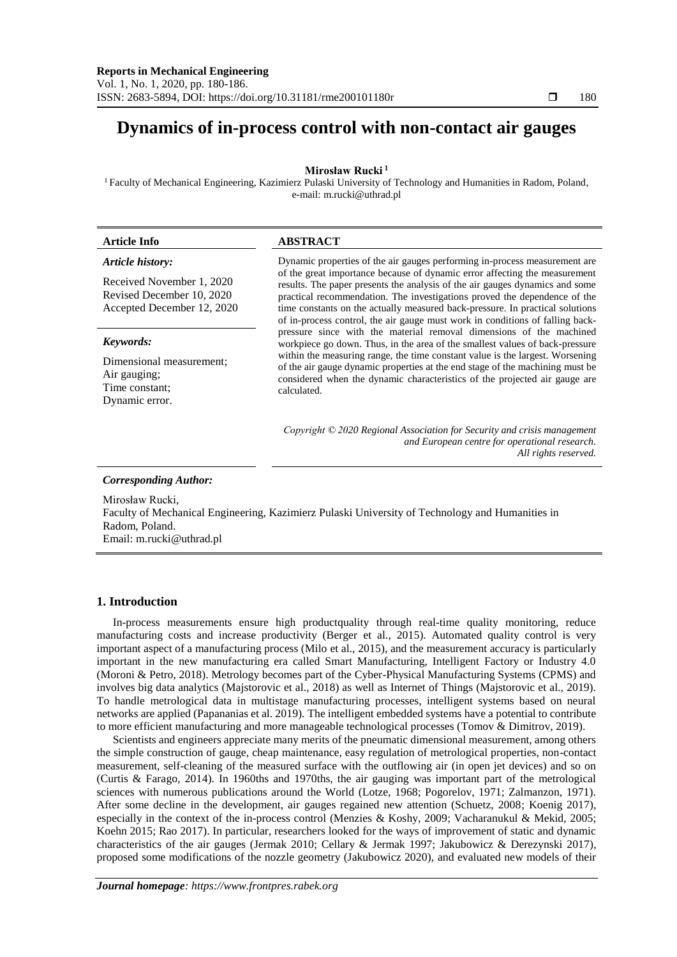# **Dynamics of in-process control with non-contact air gauges**

**Mirosław Rucki <sup>1</sup>**

<sup>1</sup> Faculty of Mechanical Engineering, Kazimierz Pulaski University of Technology and Humanities in Radom, Poland, e-mail: m.rucki@uthrad.pl

| <b>Article Info</b>                                                                  | <b>ABSTRACT</b>                                                                                                                                                                                                                                                                                                                                                                                                                                                                         |  |  |
|--------------------------------------------------------------------------------------|-----------------------------------------------------------------------------------------------------------------------------------------------------------------------------------------------------------------------------------------------------------------------------------------------------------------------------------------------------------------------------------------------------------------------------------------------------------------------------------------|--|--|
| Article history:                                                                     | Dynamic properties of the air gauges performing in-process measurement are<br>of the great importance because of dynamic error affecting the measurement<br>results. The paper presents the analysis of the air gauges dynamics and some<br>practical recommendation. The investigations proved the dependence of the<br>time constants on the actually measured back-pressure. In practical solutions<br>of in-process control, the air gauge must work in conditions of falling back- |  |  |
| Received November 1, 2020<br>Revised December 10, 2020<br>Accepted December 12, 2020 |                                                                                                                                                                                                                                                                                                                                                                                                                                                                                         |  |  |
| Keywords:                                                                            | pressure since with the material removal dimensions of the machined<br>workpiece go down. Thus, in the area of the smallest values of back-pressure                                                                                                                                                                                                                                                                                                                                     |  |  |
| Dimensional measurement;<br>Air gauging;<br>Time constant:<br>Dynamic error.         | within the measuring range, the time constant value is the largest. Worsening<br>of the air gauge dynamic properties at the end stage of the machining must be<br>considered when the dynamic characteristics of the projected air gauge are<br>calculated.                                                                                                                                                                                                                             |  |  |
|                                                                                      | Copyright $\odot$ 2020 Regional Association for Security and crisis management<br>and European centre for operational research.<br>All rights reserved.                                                                                                                                                                                                                                                                                                                                 |  |  |

*Corresponding Author:*

Mirosław Rucki, Faculty of Mechanical Engineering, Kazimierz Pulaski University of Technology and Humanities in Radom, Poland. Email: m.rucki@uthrad.pl

# **1. Introduction**

In-process measurements ensure high productquality through real-time quality monitoring, reduce manufacturing costs and increase productivity (Berger et al., 2015). Automated quality control is very important aspect of a manufacturing process (Milo et al., 2015), and the measurement accuracy is particularly important in the new manufacturing era called Smart Manufacturing, Intelligent Factory or Industry 4.0 (Moroni & Petro, 2018). Metrology becomes part of the Cyber-Physical Manufacturing Systems (CPMS) and involves big data analytics (Majstorovic et al., 2018) as well as Internet of Things (Majstorovic et al., 2019). To handle metrological data in multistage manufacturing processes, intelligent systems based on neural networks are applied (Papananias et al. 2019). The intelligent embedded systems have a potential to contribute to more efficient manufacturing and more manageable technological processes (Tomov & Dimitrov, 2019).

Scientists and engineers appreciate many merits of the pneumatic dimensional measurement, among others the simple construction of gauge, cheap maintenance, easy regulation of metrological properties, non-contact measurement, self-cleaning of the measured surface with the outflowing air (in open jet devices) and so on (Curtis & Farago, 2014). In 1960ths and 1970ths, the air gauging was important part of the metrological sciences with numerous publications around the World (Lotze, 1968; Pogorelov, 1971; Zalmanzon, 1971). After some decline in the development, air gauges regained new attention (Schuetz, 2008; Koenig 2017), especially in the context of the in-process control (Menzies & Koshy, 2009; Vacharanukul & Mekid, 2005; Koehn 2015; Rao 2017). In particular, researchers looked for the ways of improvement of static and dynamic characteristics of the air gauges (Jermak 2010; Cellary & Jermak 1997; Jakubowicz & Derezynski 2017), proposed some modifications of the nozzle geometry (Jakubowicz 2020), and evaluated new models of their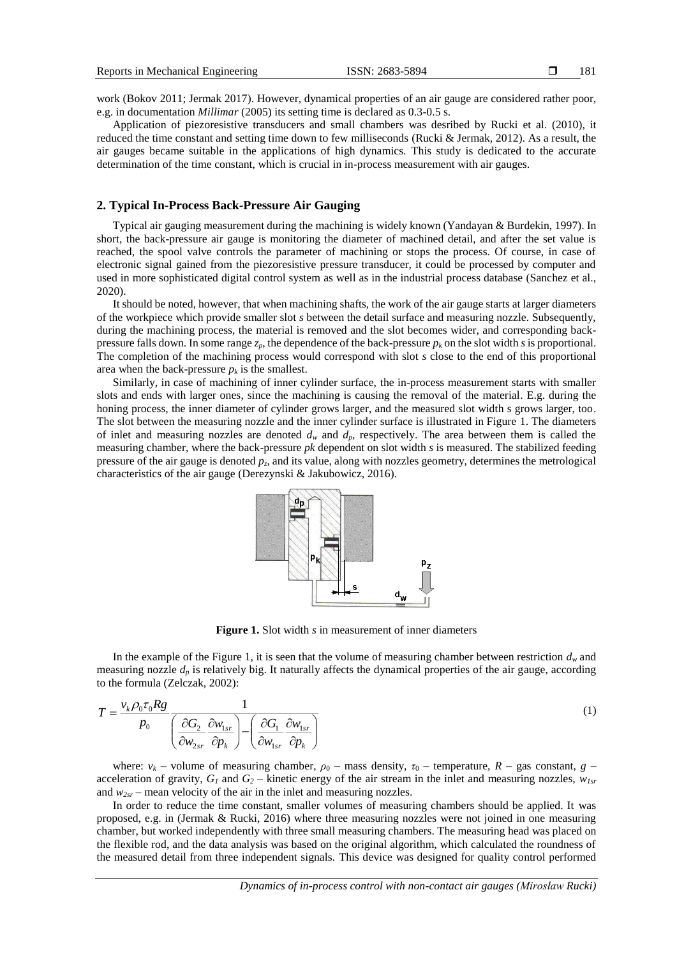work (Bokov 2011; Jermak 2017). However, dynamical properties of an air gauge are considered rather poor, e.g. in documentation *Millimar* (2005) its setting time is declared as 0.3-0.5 s.

Application of piezoresistive transducers and small chambers was desribed by Rucki et al. (2010), it reduced the time constant and setting time down to few milliseconds (Rucki & Jermak, 2012). As a result, the air gauges became suitable in the applications of high dynamics. This study is dedicated to the accurate determination of the time constant, which is crucial in in-process measurement with air gauges.

## **2. Typical In-Process Back-Pressure Air Gauging**

Typical air gauging measurement during the machining is widely known (Yandayan & Burdekin, 1997). In short, the back-pressure air gauge is monitoring the diameter of machined detail, and after the set value is reached, the spool valve controls the parameter of machining or stops the process. Of course, in case of electronic signal gained from the piezoresistive pressure transducer, it could be processed by computer and used in more sophisticated digital control system as well as in the industrial process database (Sanchez et al., 2020).

It should be noted, however, that when machining shafts, the work of the air gauge starts at larger diameters of the workpiece which provide smaller slot *s* between the detail surface and measuring nozzle. Subsequently, during the machining process, the material is removed and the slot becomes wider, and corresponding backpressure falls down. In some range  $z_p$ , the dependence of the back-pressure  $p_k$  on the slot width *s* is proportional. The completion of the machining process would correspond with slot *s* close to the end of this proportional area when the back-pressure  $p_k$  is the smallest.

Similarly, in case of machining of inner cylinder surface, the in-process measurement starts with smaller slots and ends with larger ones, since the machining is causing the removal of the material. E.g. during the honing process, the inner diameter of cylinder grows larger, and the measured slot width s grows larger, too. The slot between the measuring nozzle and the inner cylinder surface is illustrated in Figure 1. The diameters of inlet and measuring nozzles are denoted  $d_w$  and  $d_p$ , respectively. The area between them is called the measuring chamber, where the back-pressure *pk* dependent on slot width *s* is measured. The stabilized feeding pressure of the air gauge is denoted  $p_z$ , and its value, along with nozzles geometry, determines the metrological characteristics of the air gauge (Derezynski & Jakubowicz, 2016).



**Figure 1.** Slot width *s* in measurement of inner diameters

In the example of the Figure 1, it is seen that the volume of measuring chamber between restriction  $d<sub>w</sub>$  and measuring nozzle  $d_p$  is relatively big. It naturally affects the dynamical properties of the air gauge, according to the formula (Zelczak, 2002):

$$
T = \frac{v_k \rho_0 \tau_0 R g}{p_0} \frac{1}{\left(\frac{\partial G_2}{\partial w_{2sr}} \frac{\partial w_{1sr}}{\partial p_k}\right) - \left(\frac{\partial G_1}{\partial w_{1sr}} \frac{\partial w_{1sr}}{\partial p_k}\right)}
$$
(1)

where:  $v_k$  – volume of measuring chamber,  $\rho_0$  – mass density,  $\tau_0$  – temperature,  $R$  – gas constant,  $g$  – acceleration of gravity,  $G_I$  and  $G_2$  – kinetic energy of the air stream in the inlet and measuring nozzles,  $w_{Isr}$ and  $w_{2sr}$  – mean velocity of the air in the inlet and measuring nozzles.

In order to reduce the time constant, smaller volumes of measuring chambers should be applied. It was proposed, e.g. in (Jermak & Rucki, 2016) where three measuring nozzles were not joined in one measuring chamber, but worked independently with three small measuring chambers. The measuring head was placed on the flexible rod, and the data analysis was based on the original algorithm, which calculated the roundness of the measured detail from three independent signals. This device was designed for quality control performed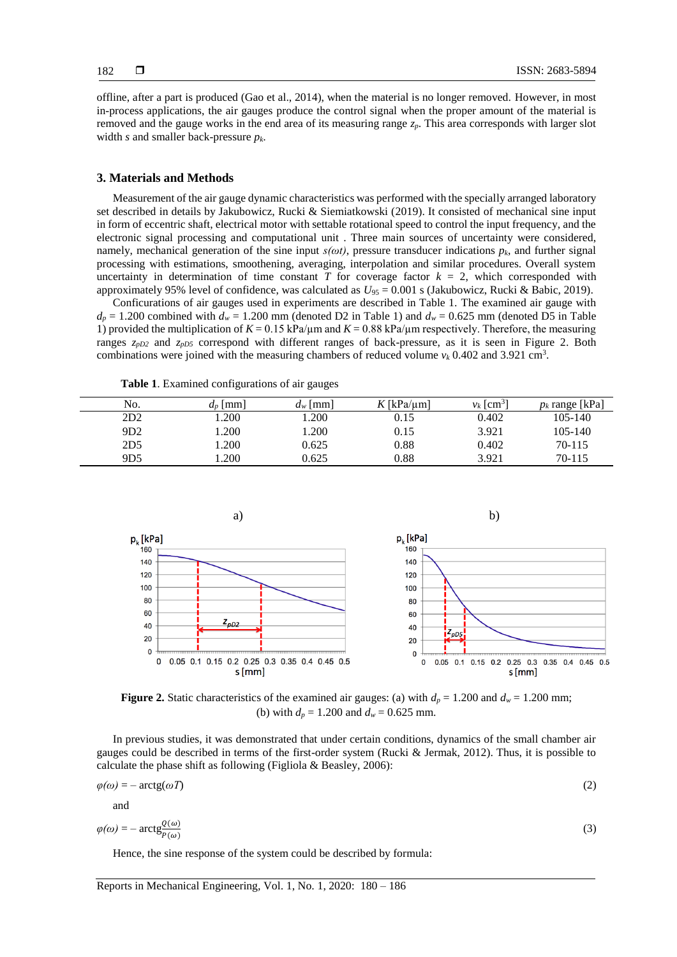offline, after a part is produced (Gao et al., 2014), when the material is no longer removed. However, in most in-process applications, the air gauges produce the control signal when the proper amount of the material is removed and the gauge works in the end area of its measuring range *zp*. This area corresponds with larger slot width *s* and smaller back-pressure *pk*.

#### **3. Materials and Methods**

Measurement of the air gauge dynamic characteristics was performed with the specially arranged laboratory set described in details by Jakubowicz, Rucki & Siemiatkowski (2019). It consisted of mechanical sine input in form of eccentric shaft, electrical motor with settable rotational speed to control the input frequency, and the electronic signal processing and computational unit . Three main sources of uncertainty were considered, namely, mechanical generation of the sine input  $s(\omega t)$ , pressure transducer indications  $p_k$ , and further signal processing with estimations, smoothening, averaging, interpolation and similar procedures. Overall system uncertainty in determination of time constant  $T$  for coverage factor  $k = 2$ , which corresponded with approximately 95% level of confidence, was calculated as *U*<sup>95</sup> = 0.001 s (Jakubowicz, Rucki & Babic, 2019).

Conficurations of air gauges used in experiments are described in Table 1. The examined air gauge with  $d_p = 1.200$  combined with  $d_w = 1.200$  mm (denoted D2 in Table 1) and  $d_w = 0.625$  mm (denoted D5 in Table 1) provided the multiplication of  $K = 0.15 \text{ kPa/\mu m}$  and  $K = 0.88 \text{ kPa/\mu m}$  respectively. Therefore, the measuring ranges *zpD2* and *zpD5* correspond with different ranges of back-pressure, as it is seen in Figure 2. Both combinations were joined with the measuring chambers of reduced volume  $v_k$  0.402 and 3.921 cm<sup>3</sup>.

| No.             | $d_n$  mm | $d_w$  mm | $K$ [kPa/um] | $v_k$   cm <sup>3</sup> | $p_k$ range [kPa] |
|-----------------|-----------|-----------|--------------|-------------------------|-------------------|
| 2D2             | .200      | .200      | 0.15         | 0.402                   | $105 - 140$       |
| 9D2             | .200      | .200      | 0.15         | 3.921                   | 105-140           |
| 2D <sub>5</sub> | .200      | 0.625     | 0.88         | 0.402                   | 70-115            |
| 9D <sub>5</sub> | .200      | 0.625     | 0.88         | 3.921                   | 70-115            |

**Table 1**. Examined configurations of air gauges



**Figure 2.** Static characteristics of the examined air gauges: (a) with  $d_p = 1.200$  and  $d_w = 1.200$  mm; (b) with  $d_p = 1.200$  and  $d_w = 0.625$  mm.

In previous studies, it was demonstrated that under certain conditions, dynamics of the small chamber air gauges could be described in terms of the first-order system (Rucki & Jermak, 2012). Thus, it is possible to calculate the phase shift as following (Figliola & Beasley, 2006):

$$
\varphi(\omega) = -\arctg(\omega T) \tag{2}
$$

and

$$
\varphi(\omega) = -\arctg\frac{Q(\omega)}{P(\omega)}\tag{3}
$$

Hence, the sine response of the system could be described by formula: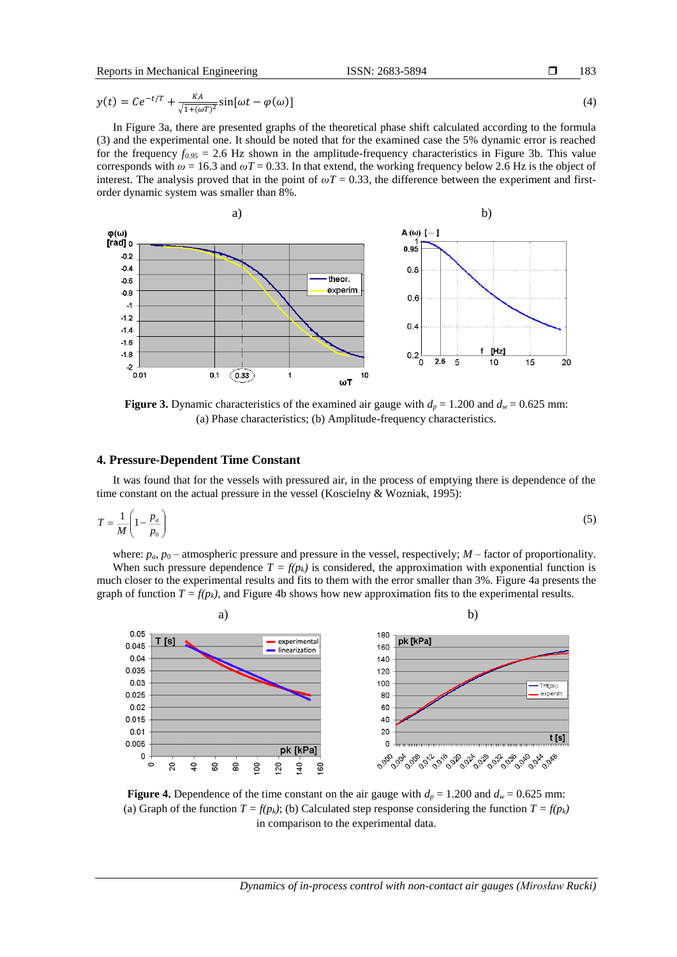Reports in Mechanical Engineering ISSN: 2683-5894 D

183

$$
y(t) = Ce^{-t/T} + \frac{KA}{\sqrt{1 + (\omega T)^2}} \sin[\omega t - \varphi(\omega)]
$$
\n(4)

In Figure 3a, there are presented graphs of the theoretical phase shift calculated according to the formula (3) and the experimental one. It should be noted that for the examined case the 5% dynamic error is reached for the frequency  $f_{0.95} = 2.6$  Hz shown in the amplitude-frequency characteristics in Figure 3b. This value corresponds with  $\omega$  = 16.3 and  $\omega$ T = 0.33. In that extend, the working frequency below 2.6 Hz is the object of interest. The analysis proved that in the point of  $\omega T = 0.33$ , the difference between the experiment and firstorder dynamic system was smaller than 8%.



**Figure 3.** Dynamic characteristics of the examined air gauge with  $d_p = 1.200$  and  $d_w = 0.625$  mm: (a) Phase characteristics; (b) Amplitude-frequency characteristics.

## **4. Pressure-Dependent Time Constant**

It was found that for the vessels with pressured air, in the process of emptying there is dependence of the time constant on the actual pressure in the vessel (Koscielny & Wozniak, 1995):

$$
T = \frac{1}{M} \left( 1 - \frac{p_a}{p_0} \right) \tag{5}
$$

where:  $p_a$ ,  $p_0$  – atmospheric pressure and pressure in the vessel, respectively;  $M$  – factor of proportionality. When such pressure dependence  $T = f(p_k)$  is considered, the approximation with exponential function is much closer to the experimental results and fits to them with the error smaller than 3%. Figure 4a presents the graph of function  $T = f(p_k)$ , and Figure 4b shows how new approximation fits to the experimental results.



**Figure 4.** Dependence of the time constant on the air gauge with  $d_p = 1.200$  and  $d_w = 0.625$  mm: (a) Graph of the function  $T = f(p_k)$ ; (b) Calculated step response considering the function  $T = f(p_k)$ in comparison to the experimental data.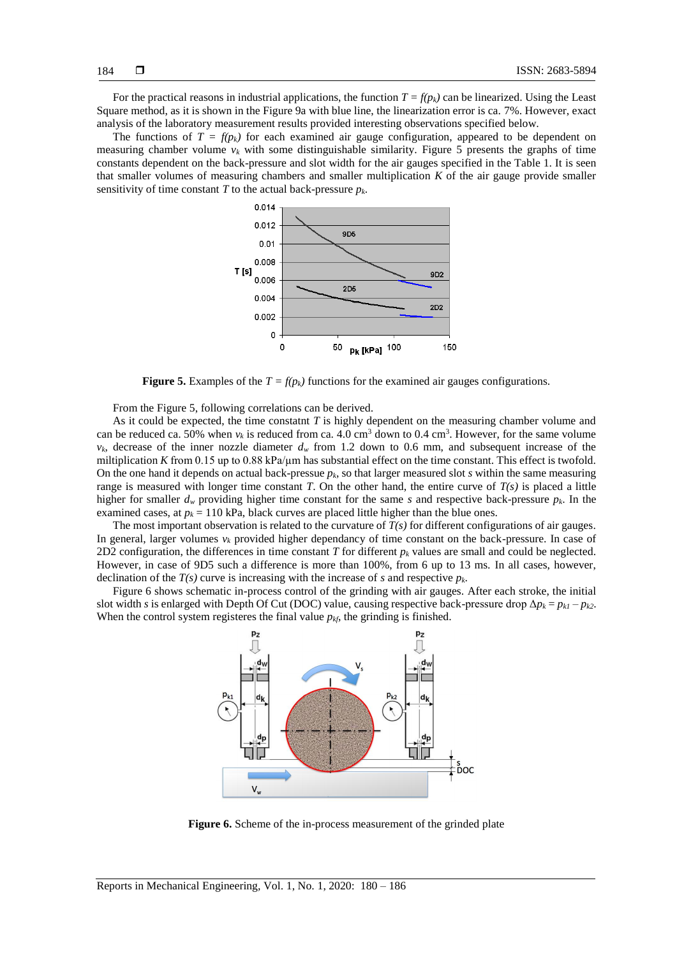For the practical reasons in industrial applications, the function  $T = f(p_k)$  can be linearized. Using the Least Square method, as it is shown in the Figure 9a with blue line, the linearization error is ca. 7%. However, exact analysis of the laboratory measurement results provided interesting observations specified below.

The functions of  $T = f(p_k)$  for each examined air gauge configuration, appeared to be dependent on measuring chamber volume  $v_k$  with some distinguishable similarity. Figure 5 presents the graphs of time constants dependent on the back-pressure and slot width for the air gauges specified in the Table 1. It is seen that smaller volumes of measuring chambers and smaller multiplication *K* of the air gauge provide smaller sensitivity of time constant *T* to the actual back-pressure  $p_k$ .



**Figure 5.** Examples of the  $T = f(p_k)$  functions for the examined air gauges configurations.

From the Figure 5, following correlations can be derived.

As it could be expected, the time constatnt *T* is highly dependent on the measuring chamber volume and can be reduced ca. 50% when  $v_k$  is reduced from ca. 4.0 cm<sup>3</sup> down to 0.4 cm<sup>3</sup>. However, for the same volume  $v_k$ , decrease of the inner nozzle diameter  $d_w$  from 1.2 down to 0.6 mm, and subsequent increase of the miltiplication *K* from 0.15 up to 0.88 kPa/ $\mu$ m has substantial effect on the time constant. This effect is twofold. On the one hand it depends on actual back-pressue *pk*, so that larger measured slot *s* within the same measuring range is measured with longer time constant *T*. On the other hand, the entire curve of  $T(s)$  is placed a little higher for smaller  $d_w$  providing higher time constant for the same *s* and respective back-pressure  $p_k$ . In the examined cases, at  $p_k = 110$  kPa, black curves are placed little higher than the blue ones.

The most important observation is related to the curvature of *T(s)* for different configurations of air gauges. In general, larger volumes  $v_k$  provided higher dependancy of time constant on the back-pressure. In case of 2D2 configuration, the differences in time constant *T* for different *p<sup>k</sup>* values are small and could be neglected. However, in case of 9D5 such a difference is more than 100%, from 6 up to 13 ms. In all cases, however, declination of the  $T(s)$  curve is increasing with the increase of *s* and respective  $p_k$ .

Figure 6 shows schematic in-process control of the grinding with air gauges. After each stroke, the initial slot width *s* is enlarged with Depth Of Cut (DOC) value, causing respective back-pressure drop  $\Delta p_k = p_{k1} - p_{k2}$ . When the control system registeres the final value  $p_{kf}$ , the grinding is finished.



**Figure 6.** Scheme of the in-process measurement of the grinded plate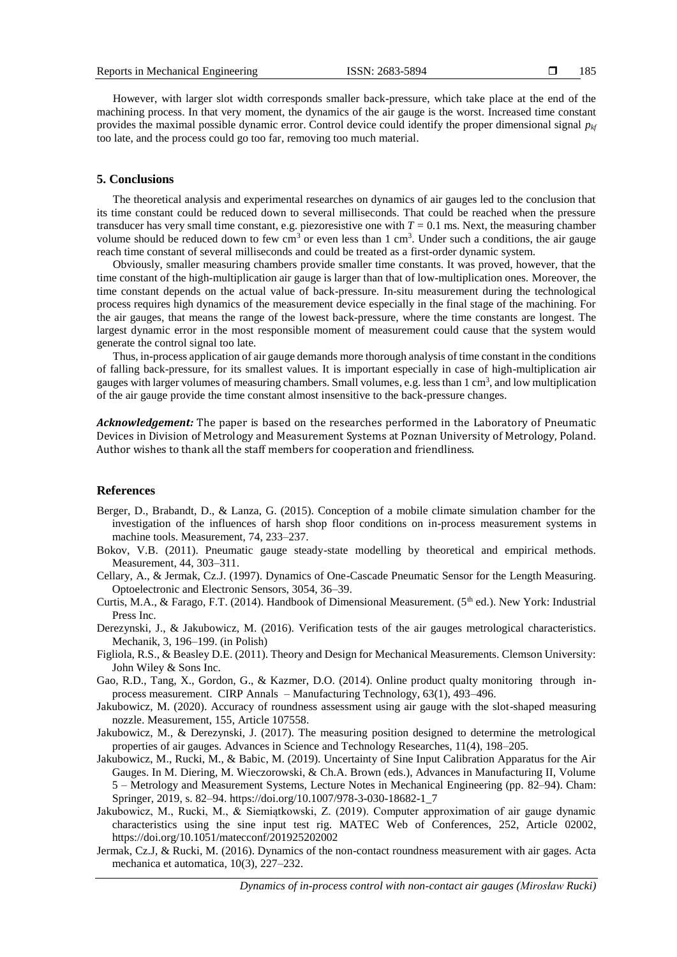However, with larger slot width corresponds smaller back-pressure, which take place at the end of the machining process. In that very moment, the dynamics of the air gauge is the worst. Increased time constant provides the maximal possible dynamic error. Control device could identify the proper dimensional signal  $p_{kf}$ too late, and the process could go too far, removing too much material.

## **5. Conclusions**

The theoretical analysis and experimental researches on dynamics of air gauges led to the conclusion that its time constant could be reduced down to several milliseconds. That could be reached when the pressure transducer has very small time constant, e.g. piezoresistive one with  $T = 0.1$  ms. Next, the measuring chamber volume should be reduced down to few  $cm<sup>3</sup>$  or even less than 1  $cm<sup>3</sup>$ . Under such a conditions, the air gauge reach time constant of several milliseconds and could be treated as a first-order dynamic system.

Obviously, smaller measuring chambers provide smaller time constants. It was proved, however, that the time constant of the high-multiplication air gauge is larger than that of low-multiplication ones. Moreover, the time constant depends on the actual value of back-pressure. In-situ measurement during the technological process requires high dynamics of the measurement device especially in the final stage of the machining. For the air gauges, that means the range of the lowest back-pressure, where the time constants are longest. The largest dynamic error in the most responsible moment of measurement could cause that the system would generate the control signal too late.

Thus, in-process application of air gauge demands more thorough analysis of time constant in the conditions of falling back-pressure, for its smallest values. It is important especially in case of high-multiplication air gauges with larger volumes of measuring chambers. Small volumes, e.g. less than 1 cm<sup>3</sup>, and low multiplication of the air gauge provide the time constant almost insensitive to the back-pressure changes.

*Acknowledgement:* The paper is based on the researches performed in the Laboratory of Pneumatic Devices in Division of Metrology and Measurement Systems at Poznan University of Metrology, Poland. Author wishes to thank all the staff members for cooperation and friendliness.

### **References**

- Berger, D., Brabandt, D., & Lanza, G. (2015). Conception of a mobile climate simulation chamber for the investigation of the influences of harsh shop floor conditions on in-process measurement systems in machine tools. Measurement, 74, 233–237.
- Bokov, V.B. (2011). Pneumatic gauge steady-state modelling by theoretical and empirical methods. Measurement, 44, 303–311.
- Cellary, A., & Jermak, Cz.J. (1997). Dynamics of One-Cascade Pneumatic Sensor for the Length Measuring. Optoelectronic and Electronic Sensors, 3054, 36–39.
- Curtis, M.A., & Farago, F.T. (2014). Handbook of Dimensional Measurement. ( $5<sup>th</sup>$  ed.). New York: Industrial Press Inc.
- Derezynski, J., & Jakubowicz, M. (2016). Verification tests of the air gauges metrological characteristics. Mechanik, 3, 196–199. (in Polish)
- Figliola, R.S., & Beasley D.E. (2011). Theory and Design for Mechanical Measurements. Clemson University: John Wiley & Sons Inc.
- Gao, R.D., Tang, X., Gordon, G., & Kazmer, D.O. (2014). Online product qualty monitoring through inprocess measurement. CIRP Annals – Manufacturing Technology, 63(1), 493–496.
- Jakubowicz, M. (2020). Accuracy of roundness assessment using air gauge with the slot-shaped measuring nozzle. Measurement, 155, Article 107558.
- Jakubowicz, M., & Derezynski, J. (2017). The measuring position designed to determine the metrological properties of air gauges. Advances in Science and Technology Researches, 11(4), 198–205.
- Jakubowicz, M., Rucki, M., & Babic, M. (2019). Uncertainty of Sine Input Calibration Apparatus for the Air Gauges. In M. Diering, M. Wieczorowski, & Ch.A. Brown (eds.), Advances in Manufacturing II, Volume 5 – Metrology and Measurement Systems, Lecture Notes in Mechanical Engineering (pp. 82–94). Cham: Springer, 2019, s. 82–94. https://doi.org/10.1007/978-3-030-18682-1\_7
- Jakubowicz, M., Rucki, M., & Siemiątkowski, Z. (2019). Computer approximation of air gauge dynamic characteristics using the sine input test rig. MATEC Web of Conferences, 252, Article 02002, https://doi.org/10.1051/matecconf/201925202002
- Jermak, Cz.J, & Rucki, M. (2016). Dynamics of the non-contact roundness measurement with air gages. Acta mechanica et automatica, 10(3), 227–232.